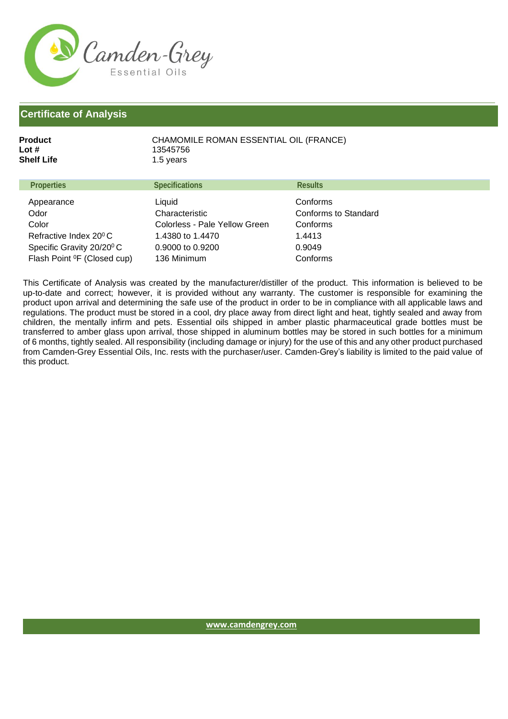

## **Certificate of Analysis**

Flash Point <sup>o</sup>F (Closed cup)

| <b>Product</b><br>Lot #<br>Shelf Life | CHAMOMILE ROMAN ESSENTIAL OIL (FRANCE)<br>13545756<br>1.5 years |                      |
|---------------------------------------|-----------------------------------------------------------------|----------------------|
| <b>Properties</b>                     | <b>Specifications</b>                                           | <b>Results</b>       |
| Appearance                            | Liquid                                                          | Conforms             |
| Odor                                  | Characteristic                                                  | Conforms to Standard |
| Color                                 | Colorless - Pale Yellow Green                                   | Conforms             |
| Refractive Index 20 <sup>°</sup> C    | 1.4380 to 1.4470                                                | 1.4413               |
| Specific Gravity 20/20 <sup>°</sup> C | 0.9000 to 0.9200                                                | 0.9049               |

136 Minimum

This Certificate of Analysis was created by the manufacturer/distiller of the product. This information is believed to be up-to-date and correct; however, it is provided without any warranty. The customer is responsible for examining the product upon arrival and determining the safe use of the product in order to be in compliance with all applicable laws and regulations. The product must be stored in a cool, dry place away from direct light and heat, tightly sealed and away from children, the mentally infirm and pets. Essential oils shipped in amber plastic pharmaceutical grade bottles must be transferred to amber glass upon arrival, those shipped in aluminum bottles may be stored in such bottles for a minimum of 6 months, tightly sealed. All responsibility (including damage or injury) for the use of this and any other product purchased from Camden-Grey Essential Oils, Inc. rests with the purchaser/user. Camden-Grey's liability is limited to the paid value of this product.

Conforms